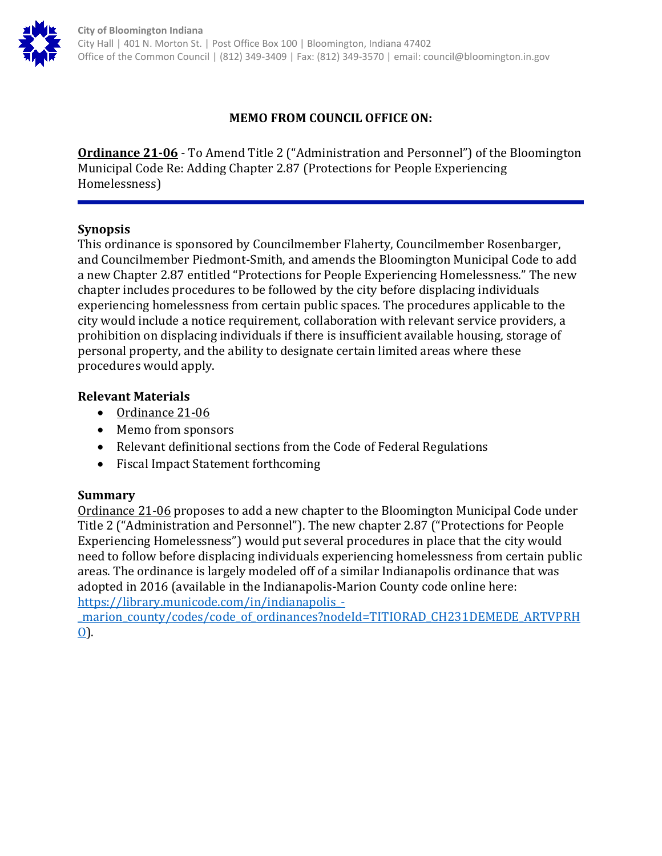

## **MEMO FROM COUNCIL OFFICE ON:**

**Ordinance 21-06** - To Amend Title 2 ("Administration and Personnel") of the Bloomington Municipal Code Re: Adding Chapter 2.87 (Protections for People Experiencing Homelessness)

### **Synopsis**

This ordinance is sponsored by Councilmember Flaherty, Councilmember Rosenbarger, and Councilmember Piedmont-Smith, and amends the Bloomington Municipal Code to add a new Chapter 2.87 entitled "Protections for People Experiencing Homelessness." The new chapter includes procedures to be followed by the city before displacing individuals experiencing homelessness from certain public spaces. The procedures applicable to the city would include a notice requirement, collaboration with relevant service providers, a prohibition on displacing individuals if there is insufficient available housing, storage of personal property, and the ability to designate certain limited areas where these procedures would apply.

### **Relevant Materials**

- Ordinance 21-06
- Memo from sponsors
- Relevant definitional sections from the Code of Federal Regulations
- Fiscal Impact Statement forthcoming

### **Summary**

Ordinance 21-06 proposes to add a new chapter to the Bloomington Municipal Code under Title 2 ("Administration and Personnel"). The new chapter 2.87 ("Protections for People Experiencing Homelessness") would put several procedures in place that the city would need to follow before displacing individuals experiencing homelessness from certain public areas. The ordinance is largely modeled off of a similar Indianapolis ordinance that was adopted in 2016 (available in the Indianapolis-Marion County code online here: [https://library.municode.com/in/indianapolis\\_-](https://library.municode.com/in/indianapolis_-_marion_county/codes/code_of_ordinances?nodeId=TITIORAD_CH231DEMEDE_ARTVPRHO)

[\\_marion\\_county/codes/code\\_of\\_ordinances?nodeId=TITIORAD\\_CH231DEMEDE\\_ARTVPRH](https://library.municode.com/in/indianapolis_-_marion_county/codes/code_of_ordinances?nodeId=TITIORAD_CH231DEMEDE_ARTVPRHO) [O\)](https://library.municode.com/in/indianapolis_-_marion_county/codes/code_of_ordinances?nodeId=TITIORAD_CH231DEMEDE_ARTVPRHO).